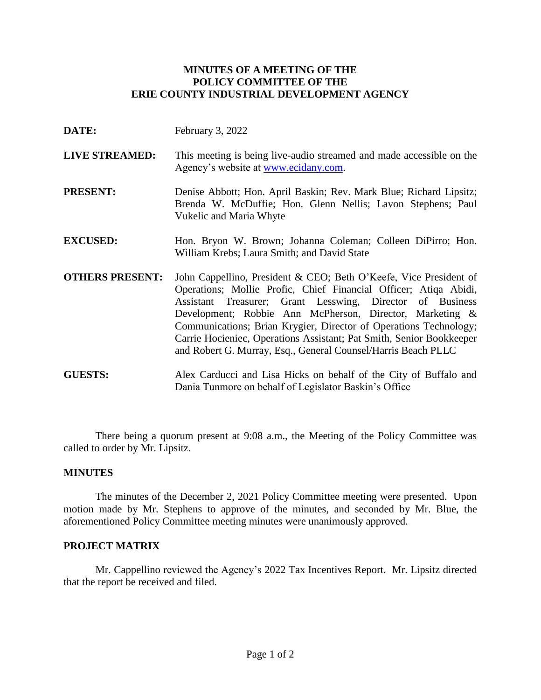# **MINUTES OF A MEETING OF THE POLICY COMMITTEE OF THE ERIE COUNTY INDUSTRIAL DEVELOPMENT AGENCY**

- **DATE:** February 3, 2022
- **LIVE STREAMED:** This meeting is being live-audio streamed and made accessible on the Agency's website at [www.ecidany.com.](http://www.ecidany.com/)
- **PRESENT:** Denise Abbott; Hon. April Baskin; Rev. Mark Blue; Richard Lipsitz; Brenda W. McDuffie; Hon. Glenn Nellis; Lavon Stephens; Paul Vukelic and Maria Whyte
- **EXCUSED:** Hon. Bryon W. Brown; Johanna Coleman; Colleen DiPirro; Hon. William Krebs; Laura Smith; and David State
- **OTHERS PRESENT:** John Cappellino, President & CEO; Beth O'Keefe, Vice President of Operations; Mollie Profic, Chief Financial Officer; Atiqa Abidi, Assistant Treasurer; Grant Lesswing, Director of Business Development; Robbie Ann McPherson, Director, Marketing & Communications; Brian Krygier, Director of Operations Technology; Carrie Hocieniec, Operations Assistant; Pat Smith, Senior Bookkeeper and Robert G. Murray, Esq., General Counsel/Harris Beach PLLC
- **GUESTS:** Alex Carducci and Lisa Hicks on behalf of the City of Buffalo and Dania Tunmore on behalf of Legislator Baskin's Office

There being a quorum present at 9:08 a.m., the Meeting of the Policy Committee was called to order by Mr. Lipsitz.

### **MINUTES**

The minutes of the December 2, 2021 Policy Committee meeting were presented. Upon motion made by Mr. Stephens to approve of the minutes, and seconded by Mr. Blue, the aforementioned Policy Committee meeting minutes were unanimously approved.

## **PROJECT MATRIX**

Mr. Cappellino reviewed the Agency's 2022 Tax Incentives Report. Mr. Lipsitz directed that the report be received and filed.